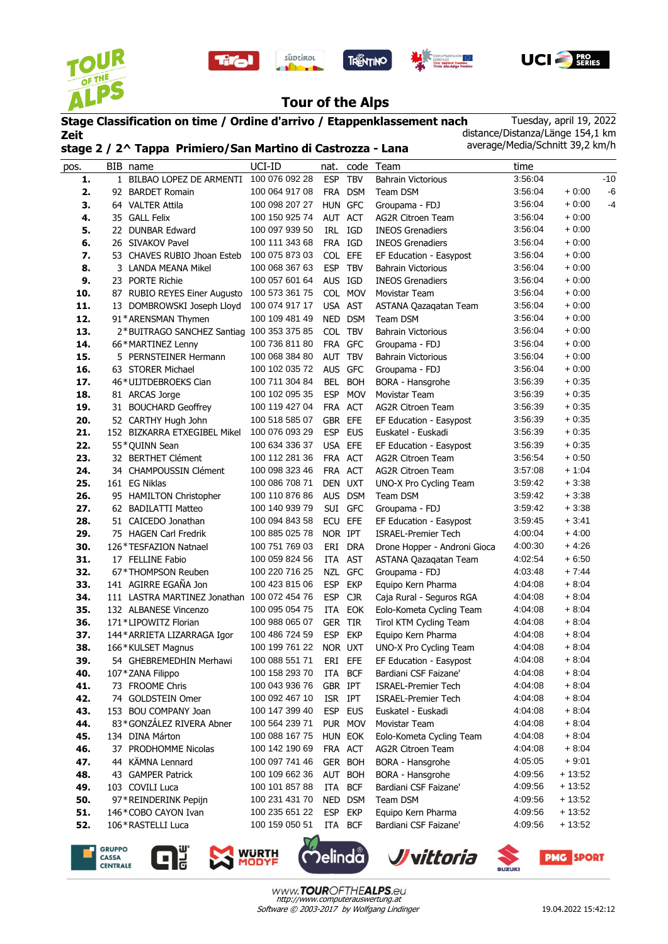









## **Tour of the Alps**

## **Stage Classification on time / Ordine d'arrivo / Etappenklassement nach Zeit stage 2 / 2^ Tappa Primiero/San Martino di Castrozza - Lana**

süptirol

Tuesday, april 19, 2022 distance/Distanza/Länge 154,1 km average/Media/Schnitt 39,2 km/h

| pos. |    | BIB name                                    | UCI-ID         | nat.           | code       | Team                         | time    |          |       |
|------|----|---------------------------------------------|----------------|----------------|------------|------------------------------|---------|----------|-------|
| 1.   |    | 1 BILBAO LOPEZ DE ARMENTI                   | 100 076 092 28 | <b>ESP</b>     | <b>TBV</b> | <b>Bahrain Victorious</b>    | 3:56:04 |          | $-10$ |
| 2.   | 92 | <b>BARDET Romain</b>                        | 100 064 917 08 | <b>FRA</b>     | <b>DSM</b> | Team DSM                     | 3.56.04 | $+0:00$  | $-6$  |
| 3.   |    | 64 VALTER Attila                            | 100 098 207 27 | <b>HUN</b>     | <b>GFC</b> | Groupama - FDJ               | 3:56:04 | $+0:00$  | -4    |
| 4.   |    | 35 GALL Felix                               | 100 150 925 74 | AUT            | ACT        | <b>AG2R Citroen Team</b>     | 3:56:04 | $+0:00$  |       |
| 5.   | 22 | <b>DUNBAR Edward</b>                        | 100 097 939 50 | IRL            | IGD        | <b>INEOS Grenadiers</b>      | 3:56:04 | $+0:00$  |       |
| 6.   | 26 | SIVAKOV Pavel                               | 100 111 343 68 |                | FRA IGD    | <b>INEOS Grenadiers</b>      | 3:56:04 | $+0:00$  |       |
| 7.   | 53 | CHAVES RUBIO Jhoan Esteb                    | 100 075 873 03 | <b>COL</b>     | EFE        | EF Education - Easypost      | 3:56:04 | $+0:00$  |       |
| 8.   |    | 3 LANDA MEANA Mikel                         | 100 068 367 63 | <b>ESP</b>     | <b>TBV</b> | <b>Bahrain Victorious</b>    | 3:56:04 | $+0:00$  |       |
| 9.   |    | 23 PORTE Richie                             | 100 057 601 64 | AUS IGD        |            | <b>INEOS Grenadiers</b>      | 3:56:04 | $+0:00$  |       |
| 10.  |    | 87 RUBIO REYES Einer Augusto                | 100 573 361 75 |                | COL MOV    | Movistar Team                | 3:56:04 | $+0:00$  |       |
| 11.  |    | 13 DOMBROWSKI Joseph Lloyd                  | 100 074 917 17 | <b>USA</b>     | AST        | ASTANA Qazaqatan Team        | 3:56:04 | $+0:00$  |       |
| 12.  |    | 91*ARENSMAN Thymen                          | 100 109 481 49 | <b>NED</b>     | <b>DSM</b> | Team DSM                     | 3:56:04 | $+0.00$  |       |
| 13.  |    | 2*BUITRAGO SANCHEZ Santiag                  | 100 353 375 85 |                | COL TBV    | <b>Bahrain Victorious</b>    | 3:56:04 | $+0:00$  |       |
| 14.  |    | 66*MARTINEZ Lenny                           | 100 736 811 80 |                | FRA GFC    | Groupama - FDJ               | 3:56:04 | $+0:00$  |       |
| 15.  |    | 5 PERNSTEINER Hermann                       | 100 068 384 80 | <b>AUT</b>     | <b>TBV</b> | <b>Bahrain Victorious</b>    | 3:56:04 | $+0:00$  |       |
| 16.  |    | 63 STORER Michael                           | 100 102 035 72 |                | AUS GFC    | Groupama - FDJ               | 3:56:04 | $+0:00$  |       |
| 17.  |    | 46*UIJTDEBROEKS Cian                        | 100 711 304 84 | <b>BEL</b>     | <b>BOH</b> | BORA - Hansgrohe             | 3:56:39 | $+0.35$  |       |
| 18.  |    | 81 ARCAS Jorge                              | 100 102 095 35 | <b>ESP</b>     | <b>MOV</b> | Movistar Team                | 3:56:39 | $+0.35$  |       |
| 19.  |    | 31 BOUCHARD Geoffrey                        | 100 119 427 04 | <b>FRA</b>     | <b>ACT</b> | <b>AG2R Citroen Team</b>     | 3:56:39 | $+0:35$  |       |
| 20.  |    | 52 CARTHY Hugh John                         | 100 518 585 07 | <b>GBR</b>     | EFE        | EF Education - Easypost      | 3:56:39 | $+0.35$  |       |
| 21.  |    | 152 BIZKARRA ETXEGIBEL Mikel                | 100 076 093 29 | <b>ESP</b>     | <b>EUS</b> | Euskatel - Euskadi           | 3:56:39 | $+0.35$  |       |
| 22.  |    | 55*QUINN Sean                               | 100 634 336 37 |                | USA EFE    | EF Education - Easypost      | 3:56:39 | $+0.35$  |       |
| 23.  |    | 32 BERTHET Clément                          | 100 112 281 36 |                | FRA ACT    | <b>AG2R Citroen Team</b>     | 3:56:54 | $+0.50$  |       |
| 24.  |    | 34 CHAMPOUSSIN Clément                      | 100 098 323 46 | FRA            | <b>ACT</b> | <b>AG2R Citroen Team</b>     | 3:57:08 | $+1:04$  |       |
| 25.  |    | 161 EG Niklas                               | 100 086 708 71 |                | DEN UXT    | UNO-X Pro Cycling Team       | 3:59:42 | $+3:38$  |       |
| 26.  |    | 95 HAMILTON Christopher                     | 100 110 876 86 |                | AUS DSM    | Team DSM                     | 3:59:42 | $+3:38$  |       |
| 27.  |    | 62 BADILATTI Matteo                         | 100 140 939 79 | SUI            | GFC        | Groupama - FDJ               | 3:59:42 | $+3:38$  |       |
| 28.  |    | 51 CAICEDO Jonathan                         | 100 094 843 58 | <b>ECU</b>     | <b>EFE</b> | EF Education - Easypost      | 3:59:45 | $+3:41$  |       |
| 29.  |    | 75 HAGEN Carl Fredrik                       | 100 885 025 78 | NOR IPT        |            | <b>ISRAEL-Premier Tech</b>   | 4:00:04 | $+4:00$  |       |
| 30.  |    | 126*TESFAZION Natnael                       | 100 751 769 03 | ERI            | <b>DRA</b> | Drone Hopper - Androni Gioca | 4:00:30 | $+4:26$  |       |
| 31.  |    | 17 FELLINE Fabio                            | 100 059 824 56 | ITA            | <b>AST</b> | ASTANA Qazaqatan Team        | 4:02:54 | $+6:50$  |       |
| 32.  |    | 67*THOMPSON Reuben                          | 100 220 716 25 | <b>NZL</b>     | <b>GFC</b> | Groupama - FDJ               | 4:03:48 | $+7:44$  |       |
| 33.  |    | 141 AGIRRE EGAÑA Jon                        | 100 423 815 06 | <b>ESP</b>     | <b>EKP</b> | Equipo Kern Pharma           | 4:04:08 | $+8.04$  |       |
| 34.  |    | 111 LASTRA MARTINEZ Jonathan 100 072 454 76 |                | <b>ESP</b>     | <b>CJR</b> | Caja Rural - Seguros RGA     | 4:04:08 | $+8.04$  |       |
| 35.  |    | 132 ALBANESE Vincenzo                       | 100 095 054 75 | ITA            | EOK        | Eolo-Kometa Cycling Team     | 4:04:08 | $+8.04$  |       |
| 36.  |    | 171*LIPOWITZ Florian                        | 100 988 065 07 | <b>GER TIR</b> |            | Tirol KTM Cycling Team       | 4:04:08 | $+8.04$  |       |
| 37.  |    | 144* ARRIETA LIZARRAGA Igor                 | 100 486 724 59 | <b>ESP</b>     | <b>EKP</b> | Equipo Kern Pharma           | 4:04:08 | $+8.04$  |       |
| 38.  |    | 166*KULSET Magnus                           | 100 199 761 22 | NOR UXT        |            | UNO-X Pro Cycling Team       | 4:04:08 | $+8.04$  |       |
| 39.  |    | 54 GHEBREMEDHIN Merhawi                     | 100 088 551 71 |                | ERI EFE    | EF Education - Easypost      | 4:04:08 | + 8:04   |       |
| 40.  |    | 107 * ZANA Filippo                          | 100 158 293 70 | ITA            | <b>BCF</b> | Bardiani CSF Faizane'        | 4:04:08 | $+8:04$  |       |
| 41.  |    | 73 FROOME Chris                             | 100 043 936 76 | GBR IPT        |            | <b>ISRAEL-Premier Tech</b>   | 4:04:08 | $+8:04$  |       |
| 42.  |    | 74 GOLDSTEIN Omer                           | 100 092 467 10 | ISR IPT        |            | ISRAEL-Premier Tech          | 4:04:08 | $+8:04$  |       |
| 43.  |    | 153 BOU COMPANY Joan                        | 100 147 399 40 | ESP            | <b>EUS</b> | Euskatel - Euskadi           | 4:04:08 | $+8:04$  |       |
| 44.  |    | 83*GONZÁLEZ RIVERA Abner                    | 100 564 239 71 |                | PUR MOV    | Movistar Team                | 4:04:08 | $+8:04$  |       |
| 45.  |    | 134 DINA Márton                             | 100 088 167 75 |                | HUN EOK    | Eolo-Kometa Cycling Team     | 4:04:08 | $+8:04$  |       |
| 46.  |    | 37 PRODHOMME Nicolas                        | 100 142 190 69 |                | FRA ACT    | <b>AG2R Citroen Team</b>     | 4:04:08 | $+8:04$  |       |
| 47.  | 44 | KÄMNA Lennard                               | 100 097 741 46 |                | GER BOH    | BORA - Hansgrohe             | 4:05:05 | $+9:01$  |       |
| 48.  |    | 43 GAMPER Patrick                           | 100 109 662 36 |                | AUT BOH    | BORA - Hansgrohe             | 4:09:56 | $+13:52$ |       |
| 49.  |    | 103 COVILI Luca                             | 100 101 857 88 | ITA            | <b>BCF</b> | Bardiani CSF Faizane'        | 4:09:56 | $+13:52$ |       |
| 50.  |    | 97*REINDERINK Pepijn                        | 100 231 431 70 |                | NED DSM    | Team DSM                     | 4:09:56 | $+13:52$ |       |
| 51.  |    | 146*COBO CAYON Ivan                         | 100 235 651 22 | <b>ESP</b>     | EKP        | Equipo Kern Pharma           | 4:09:56 | $+13:52$ |       |
| 52.  |    | 106*RASTELLI Luca                           | 100 159 050 51 |                | ITA BCF    | Bardiani CSF Faizane'        | 4:09:56 | $+13:52$ |       |
|      |    |                                             |                |                |            |                              |         |          |       |

**GRUPPO** CASSA CENTRALE







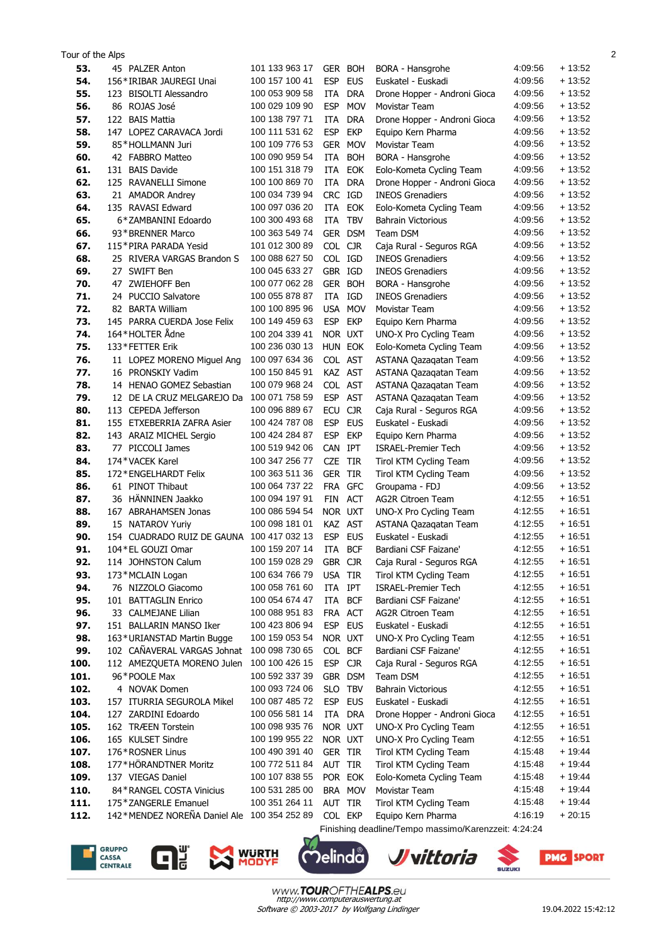| Tour of the Alps |                                                           |                                  |                    |            |                                                      |                    |                      | $\overline{2}$ |
|------------------|-----------------------------------------------------------|----------------------------------|--------------------|------------|------------------------------------------------------|--------------------|----------------------|----------------|
| 53.              | 45 PALZER Anton                                           | 101 133 963 17                   |                    | GER BOH    | BORA - Hansgrohe                                     | 4:09:56            | $+13:52$             |                |
| 54.              | 156*IRIBAR JAUREGI Unai                                   | 100 157 100 41                   | <b>ESP</b>         | <b>EUS</b> | Euskatel - Euskadi                                   | 4:09:56            | $+13:52$             |                |
| 55.              | 123 BISOLTI Alessandro                                    | 100 053 909 58                   | ITA                | <b>DRA</b> | Drone Hopper - Androni Gioca                         | 4:09:56            | $+13:52$             |                |
| 56.              | 86 ROJAS José                                             | 100 029 109 90                   | <b>ESP</b>         | <b>MOV</b> | <b>Movistar Team</b>                                 | 4:09:56            | $+13:52$             |                |
| 57.              | 122 BAIS Mattia                                           | 100 138 797 71                   | <b>ITA</b>         | <b>DRA</b> | Drone Hopper - Androni Gioca                         | 4:09:56            | $+13:52$             |                |
| 58.              | 147 LOPEZ CARAVACA Jordi                                  | 100 111 531 62                   | <b>ESP</b>         | <b>EKP</b> | Equipo Kern Pharma                                   | 4:09:56            | $+13:52$             |                |
| 59.              | 85*HOLLMANN Juri                                          | 100 109 776 53                   | <b>GER</b>         | <b>MOV</b> | Movistar Team                                        | 4:09:56            | $+13:52$             |                |
| 60.              | 42 FABBRO Matteo                                          | 100 090 959 54                   | <b>ITA</b>         | <b>BOH</b> | BORA - Hansgrohe                                     | 4:09:56            | $+13:52$             |                |
| 61.              | 131 BAIS Davide                                           | 100 151 318 79                   | <b>ITA</b>         | <b>EOK</b> | Eolo-Kometa Cycling Team                             | 4:09:56            | $+13:52$             |                |
| 62.              | 125 RAVANELLI Simone                                      | 100 100 869 70                   | ITA                | <b>DRA</b> | Drone Hopper - Androni Gioca                         | 4:09:56            | $+13:52$             |                |
| 63.              | 21 AMADOR Andrey                                          | 100 034 739 94                   | CRC IGD            |            | <b>INEOS Grenadiers</b>                              | 4:09:56            | $+13:52$             |                |
| 64.              | 135 RAVASI Edward                                         | 100 097 036 20                   | ITA                | <b>EOK</b> | Eolo-Kometa Cycling Team                             | 4:09:56            | $+13:52$             |                |
| 65.              | 6*ZAMBANINI Edoardo                                       | 100 300 493 68                   | ITA                | <b>TBV</b> | <b>Bahrain Victorious</b>                            | 4:09:56            | $+13:52$             |                |
| 66.              | 93 * BRENNER Marco                                        | 100 363 549 74                   |                    | GER DSM    | Team DSM                                             | 4:09:56            | $+13:52$             |                |
| 67.              | 115*PIRA PARADA Yesid                                     | 101 012 300 89                   | COL CJR            |            | Caja Rural - Seguros RGA                             | 4:09:56            | + 13:52              |                |
| 68.              | 25 RIVERA VARGAS Brandon S                                | 100 088 627 50                   | COL IGD            |            | <b>INEOS Grenadiers</b>                              | 4:09:56            | $+13:52$             |                |
| 69.              | 27 SWIFT Ben                                              | 100 045 633 27                   | GBR IGD            |            | <b>INEOS Grenadiers</b>                              | 4:09:56            | $+13:52$             |                |
| 70.              | 47 ZWIEHOFF Ben                                           | 100 077 062 28                   | GER BOH            |            | BORA - Hansgrohe                                     | 4:09:56            | $+13:52$             |                |
| 71.              | 24 PUCCIO Salvatore                                       | 100 055 878 87                   | ITA                | IGD        | <b>INEOS Grenadiers</b>                              | 4:09:56            | $+13:52$             |                |
| 72.              | 82 BARTA William                                          | 100 100 895 96                   | USA                | <b>MOV</b> | Movistar Team                                        | 4:09:56            | $+13:52$             |                |
| 73.              | 145 PARRA CUERDA Jose Felix                               | 100 149 459 63                   | <b>ESP</b>         | <b>EKP</b> | Equipo Kern Pharma                                   | 4:09:56            | $+13:52$             |                |
| 74.              | 164*HOLTER Ådne                                           | 100 204 339 41                   | NOR UXT            |            | UNO-X Pro Cycling Team                               | 4:09:56            | $+13:52$             |                |
| 75.              | 133*FETTER Erik                                           | 100 236 030 13                   | HUN EOK            |            | Eolo-Kometa Cycling Team                             | 4:09:56            | $+13:52$             |                |
| 76.              | 11 LOPEZ MORENO Miguel Ang                                | 100 097 634 36                   | COL AST            |            | ASTANA Qazaqatan Team                                | 4:09:56            | $+13:52$             |                |
| 77.              | 16 PRONSKIY Vadim                                         | 100 150 845 91                   | KAZ AST            |            | ASTANA Qazaqatan Team                                | 4:09:56            | $+13:52$             |                |
| 78.              | 14 HENAO GOMEZ Sebastian                                  | 100 079 968 24                   | COL AST            |            | ASTANA Qazaqatan Team                                | 4:09:56            | $+13:52$             |                |
| 79.              | 12 DE LA CRUZ MELGAREJO Da                                | 100 071 758 59                   | <b>ESP</b>         | <b>AST</b> | ASTANA Qazaqatan Team                                | 4:09:56            | $+13:52$             |                |
| 80.              | 113 CEPEDA Jefferson                                      | 100 096 889 67                   | <b>ECU</b>         | <b>CJR</b> | Caja Rural - Seguros RGA                             | 4:09:56            | + 13:52              |                |
| 81.              | 155 ETXEBERRIA ZAFRA Asier                                | 100 424 787 08                   | <b>ESP</b>         | <b>EUS</b> | Euskatel - Euskadi                                   | 4:09:56            | $+13:52$             |                |
| 82.              | 143 ARAIZ MICHEL Sergio                                   | 100 424 284 87                   | <b>ESP</b>         | <b>EKP</b> | Equipo Kern Pharma                                   | 4:09:56            | + 13:52              |                |
| 83.              | 77 PICCOLI James                                          | 100 519 942 06                   | CAN IPT            |            | <b>ISRAEL-Premier Tech</b>                           | 4:09:56            | $+13:52$             |                |
| 84.              | 174*VACEK Karel                                           | 100 347 256 77                   | CZE TIR            |            | Tirol KTM Cycling Team                               | 4:09:56            | + 13:52              |                |
| 85.              | 172*ENGELHARDT Felix                                      | 100 363 511 36                   | <b>GER TIR</b>     |            | Tirol KTM Cycling Team                               | 4:09:56            | + 13:52              |                |
| 86.              | 61 PINOT Thibaut                                          | 100 064 737 22                   | FRA                | <b>GFC</b> | Groupama - FDJ                                       | 4:09:56            | $+13:52$             |                |
| 87.              | 36 HÄNNINEN Jaakko                                        | 100 094 197 91                   | FIN                | <b>ACT</b> | AG2R Citroen Team                                    | 4:12:55            | $+16.51$             |                |
| 88.              | 167 ABRAHAMSEN Jonas                                      | 100 086 594 54                   | NOR UXT            |            | UNO-X Pro Cycling Team                               | 4:12:55            | $+16.51$             |                |
| 89.              | 15 NATAROV Yuriy                                          | 100 098 181 01                   | KAZ AST            |            | ASTANA Qazaqatan Team                                | 4:12:55            | $+16.51$             |                |
| 90.              | 154 CUADRADO RUIZ DE GAUNA                                | 100 417 032 13                   | <b>ESP</b>         | <b>EUS</b> | Euskatel - Euskadi                                   | 4:12:55            | $+16:51$             |                |
| 91               | 104 * FL GOUZI Omar                                       | 100 159 207 14                   | <b>ITA</b>         | <b>BCF</b> | Bardiani CSF Faizane'                                | 4:12:55            | $+16.51$             |                |
| 92.              | 114 JOHNSTON Calum                                        | 100 159 028 29                   | GBR CJR            |            | Caja Rural - Seguros RGA                             | 4:12:55            | + 16:51              |                |
| 93.              | 173*MCLAIN Logan                                          | 100 634 766 79                   | USA TIR            |            | Tirol KTM Cycling Team                               | 4:12:55            | $+16.51$             |                |
| 94.              | 76 NIZZOLO Giacomo                                        | 100 058 761 60                   | ITA IPT            |            | <b>ISRAEL-Premier Tech</b>                           | 4:12:55            | $+16:51$             |                |
| 95.              | 101 BATTAGLIN Enrico                                      | 100 054 674 47                   | ITA BCF            |            | Bardiani CSF Faizane'                                | 4:12:55            | $+16:51$             |                |
| 96.              | 33 CALMEJANE Lilian                                       | 100 088 951 83                   | FRA ACT            |            | <b>AG2R Citroen Team</b><br>Euskatel - Euskadi       | 4:12:55            | $+16:51$             |                |
| 97.              | 151 BALLARIN MANSO Iker                                   | 100 423 806 94<br>100 159 053 54 | <b>ESP</b>         | <b>EUS</b> |                                                      | 4:12:55<br>4:12:55 | $+16:51$<br>$+16:51$ |                |
| 98.<br>99.       | 163*URIANSTAD Martin Bugge<br>102 CAÑAVERAL VARGAS Johnat | 100 098 730 65                   | NOR UXT<br>COL BCF |            | UNO-X Pro Cycling Team<br>Bardiani CSF Faizane'      | 4:12:55            | $+16:51$             |                |
| 100.             | 112 AMEZQUETA MORENO Julen                                | 100 100 426 15                   | <b>ESP</b>         | <b>CJR</b> | Caja Rural - Seguros RGA                             | 4:12:55            | $+16:51$             |                |
| 101.             | 96*POOLE Max                                              | 100 592 337 39                   |                    | GBR DSM    | Team DSM                                             | 4:12:55            | $+16:51$             |                |
| 102.             | 4 NOVAK Domen                                             | 100 093 724 06                   | SLO TBV            |            | <b>Bahrain Victorious</b>                            | 4:12:55            | $+16:51$             |                |
| 103.             | 157 ITURRIA SEGUROLA Mikel                                | 100 087 485 72                   | <b>ESP</b>         | <b>EUS</b> | Euskatel - Euskadi                                   | 4:12:55            | $+16:51$             |                |
| 104.             | 127 ZARDINI Edoardo                                       | 100 056 581 14                   |                    | ITA DRA    | Drone Hopper - Androni Gioca                         | 4:12:55            | $+16:51$             |                |
| 105.             | 162 TRÆEN Torstein                                        | 100 098 935 76                   | NOR UXT            |            | UNO-X Pro Cycling Team                               | 4:12:55            | $+16:51$             |                |
| 106.             | 165 KULSET Sindre                                         | 100 199 955 22                   | NOR UXT            |            | UNO-X Pro Cycling Team                               | 4:12:55            | $+16:51$             |                |
| 107.             | 176*ROSNER Linus                                          | 100 490 391 40                   | GER TIR            |            | Tirol KTM Cycling Team                               | 4:15:48            | $+19:44$             |                |
| 108.             | 177*HÖRANDTNER Moritz                                     | 100 772 511 84                   | AUT TIR            |            | Tirol KTM Cycling Team                               | 4:15:48            | $+19:44$             |                |
| 109.             | 137 VIEGAS Daniel                                         | 100 107 838 55                   | POR EOK            |            | Eolo-Kometa Cycling Team                             | 4:15:48            | $+19:44$             |                |
| 110.             | 84*RANGEL COSTA Vinicius                                  | 100 531 285 00                   |                    | BRA MOV    | Movistar Team                                        | 4:15:48            | + 19:44              |                |
| 111.             | 175*ZANGERLE Emanuel                                      | 100 351 264 11                   | AUT TIR            |            | Tirol KTM Cycling Team                               | 4:15:48            | $+19:44$             |                |
| 112.             | 142*MENDEZ NOREÑA Daniel Ale 100 354 252 89               |                                  | COL EKP            |            | Equipo Kern Pharma                                   | 4:16:19            | $+20:15$             |                |
|                  |                                                           |                                  |                    |            | Finishing deadline/Tempo massimo/Karenzzeit: 4:24:24 |                    |                      |                |





 $\mathbf{\hat{D}}$ elinda *J* vittoria  $\zeta$